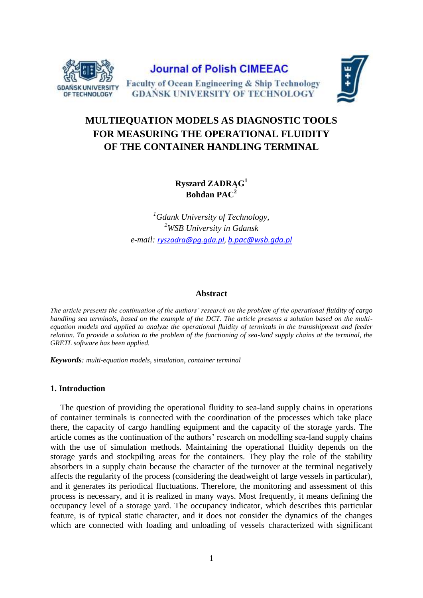

# **MULTIEQUATION MODELS AS DIAGNOSTIC TOOLS FOR MEASURING THE OPERATIONAL FLUIDITY OF THE CONTAINER HANDLING TERMINAL**

**Ryszard ZADRĄG<sup>1</sup> Bohdan PAC<sup>2</sup>** 

*<sup>1</sup>Gdank University of Technology, <sup>2</sup>WSB University in Gdansk e-mail: [ryszadra@pg.gda.pl](mailto:ryszadra@pg.gda.pl)*, *b.pac@wsb.gda.pl*

#### **Abstract**

*The article presents the continuation of the authors' research on the problem of the operational fluidity of cargo handling sea terminals, based on the example of the DCT. The article presents a solution based on the multiequation models and applied to analyze the operational fluidity of terminals in the transshipment and feeder relation. To provide a solution to the problem of the functioning of sea-land supply chains at the terminal, the GRETL software has been applied.*

*Keywords: multi-equation models, simulation, container terminal*

# **1. Introduction**

The question of providing the operational fluidity to sea-land supply chains in operations of container terminals is connected with the coordination of the processes which take place there, the capacity of cargo handling equipment and the capacity of the storage yards. The article comes as the continuation of the authors' research on modelling sea-land supply chains with the use of simulation methods. Maintaining the operational fluidity depends on the storage yards and stockpiling areas for the containers. They play the role of the stability absorbers in a supply chain because the character of the turnover at the terminal negatively affects the regularity of the process (considering the deadweight of large vessels in particular), and it generates its periodical fluctuations. Therefore, the monitoring and assessment of this process is necessary, and it is realized in many ways. Most frequently, it means defining the occupancy level of a storage yard. The occupancy indicator, which describes this particular feature, is of typical static character, and it does not consider the dynamics of the changes which are connected with loading and unloading of vessels characterized with significant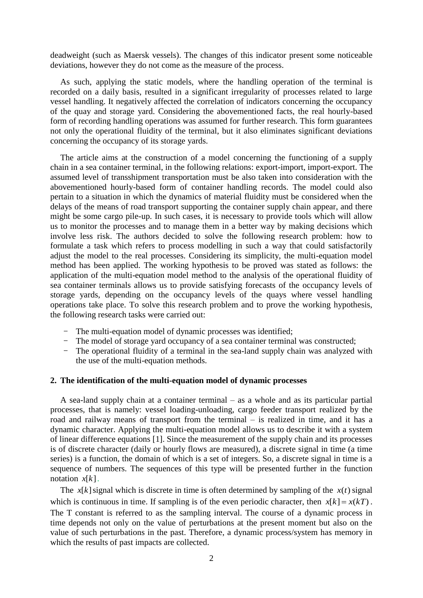deadweight (such as Maersk vessels). The changes of this indicator present some noticeable deviations, however they do not come as the measure of the process.

As such, applying the static models, where the handling operation of the terminal is recorded on a daily basis, resulted in a significant irregularity of processes related to large vessel handling. It negatively affected the correlation of indicators concerning the occupancy of the quay and storage yard. Considering the abovementioned facts, the real hourly-based form of recording handling operations was assumed for further research. This form guarantees not only the operational fluidity of the terminal, but it also eliminates significant deviations concerning the occupancy of its storage yards.

The article aims at the construction of a model concerning the functioning of a supply chain in a sea container terminal, in the following relations: export-import, import-export. The assumed level of transshipment transportation must be also taken into consideration with the abovementioned hourly-based form of container handling records. The model could also pertain to a situation in which the dynamics of material fluidity must be considered when the delays of the means of road transport supporting the container supply chain appear, and there might be some cargo pile-up. In such cases, it is necessary to provide tools which will allow us to monitor the processes and to manage them in a better way by making decisions which involve less risk. The authors decided to solve the following research problem: how to formulate a task which refers to process modelling in such a way that could satisfactorily adjust the model to the real processes. Considering its simplicity, the multi-equation model method has been applied. The working hypothesis to be proved was stated as follows: the application of the multi-equation model method to the analysis of the operational fluidity of sea container terminals allows us to provide satisfying forecasts of the occupancy levels of storage yards, depending on the occupancy levels of the quays where vessel handling operations take place. To solve this research problem and to prove the working hypothesis, the following research tasks were carried out:

- The multi-equation model of dynamic processes was identified;
- The model of storage yard occupancy of a sea container terminal was constructed;
- The operational fluidity of a terminal in the sea-land supply chain was analyzed with the use of the multi-equation methods.

## **2. The identification of the multi-equation model of dynamic processes**

A sea-land supply chain at a container terminal – as a whole and as its particular partial processes, that is namely: vessel loading-unloading, cargo feeder transport realized by the road and railway means of transport from the terminal – is realized in time, and it has a dynamic character. Applying the multi-equation model allows us to describe it with a system of linear difference equations [1]. Since the measurement of the supply chain and its processes is of discrete character (daily or hourly flows are measured), a discrete signal in time (a time series) is a function, the domain of which is a set of integers. So, a discrete signal in time is a sequence of numbers. The sequences of this type will be presented further in the function notation *<sup>x</sup>*[*k*].

The  $x[k]$  signal which is discrete in time is often determined by sampling of the  $x(t)$  signal which is continuous in time. If sampling is of the even periodic character, then  $x[k] = x(kT)$ . The T constant is referred to as the sampling interval. The course of a dynamic process in time depends not only on the value of perturbations at the present moment but also on the value of such perturbations in the past. Therefore, a dynamic process/system has memory in which the results of past impacts are collected.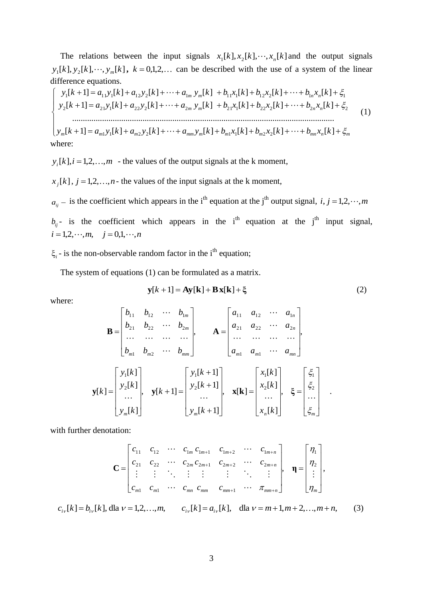The relations between the input signals  $x_1[k], x_2[k], \dots, x_n[k]$  and the output signals  $y_1[k], y_2[k], \dots, y_m[k], k = 0,1,2,\dots$  can be described with the use of a system of the linear difference equations.

 $\left[ y_m[k+1] = a_{m1}y_1[k] + a_{m2}y_2[k] + \cdots + a_{mm}y_m[k] + b_{m1}x_1[k] + b_{m2}x_2[k] + \cdots + b_{mn}x_n[k] + \xi_m\right]$ I I I ∤ ſ  $y_2[k+1] = a_{21}y_1[k] + a_{22}y_2[k] + \cdots + a_{2m}y_m[k] + b_{21}x_1[k] + b_{22}x_2[k] + \cdots + b_{2n}x_n[k] + \xi_2$  $y_1[k+1] = a_{11}y_1[k] + a_{12}y_2[k] + \cdots + a_{1m}y_m[k] + b_{11}x_1[k] + b_{12}x_2[k] + \cdots + b_{1n}x_n[k] + \xi_1$ ........................................................................................................................... (1) where:

 $y_i[k], i = 1,2,...,m$  - the values of the output signals at the k moment,

 $x_j[k]$ ,  $j = 1,2,...,n$  - the values of the input signals at the k moment,

 $a_{ij}$  – is the coefficient which appears in the i<sup>th</sup> equation at the j<sup>th</sup> output signal, *i*, *j* = 1,2, ···, *m* 

 $b_{ij}$ - is the coefficient which appears in the i<sup>th</sup> equation at the j<sup>th</sup> input signal,  $i = 1, 2, \dots, m, \quad j = 0, 1, \dots, n$ 

 $\xi_i$  - is the non-observable random factor in the i<sup>th</sup> equation;

The system of equations (1) can be formulated as a matrix.

$$
\mathbf{y}[k+1] = \mathbf{A}\mathbf{y}[\mathbf{k}] + \mathbf{B}\mathbf{x}[\mathbf{k}] + \xi
$$
 (2)

where:

$$
\mathbf{B} = \begin{bmatrix} b_{11} & b_{12} & \cdots & b_{1m} \\ b_{21} & b_{22} & \cdots & b_{2m} \\ \cdots & \cdots & \cdots & \cdots \\ b_{m1} & b_{m2} & \cdots & b_{mm} \end{bmatrix}, \quad \mathbf{A} = \begin{bmatrix} a_{11} & a_{12} & \cdots & a_{1n} \\ a_{21} & a_{22} & \cdots & a_{2n} \\ \cdots & \cdots & \cdots & \cdots \\ a_{m1} & a_{m1} & \cdots & a_{mn} \end{bmatrix},
$$

$$
\mathbf{y}[k] = \begin{bmatrix} y_1[k] \\ y_2[k] \\ \cdots \\ y_n[k] \end{bmatrix}, \quad \mathbf{y}[k+1] = \begin{bmatrix} y_1[k+1] \\ y_2[k+1] \\ \cdots \\ y_m[k+1] \end{bmatrix}, \quad \mathbf{x}[k] = \begin{bmatrix} x_1[k] \\ x_2[k] \\ \cdots \\ x_n[k] \end{bmatrix}, \quad \xi = \begin{bmatrix} \xi_1 \\ \xi_2 \\ \vdots \\ \xi_m \end{bmatrix}.
$$

with further denotation:

$$
\mathbf{C} = \begin{bmatrix} c_{11} & c_{12} & \cdots & c_{1m} & c_{1m+1} & c_{1m+2} & \cdots & c_{1m+n} \\ c_{21} & c_{22} & \cdots & c_{2m} & c_{2m+1} & c_{2m+2} & \cdots & c_{2m+n} \\ \vdots & \vdots & \ddots & \vdots & \vdots & \vdots & \ddots & \vdots \\ c_{m1} & c_{m1} & \cdots & c_{mn} & c_{mm} & c_{mm+1} & \cdots & \pi_{mm+n} \end{bmatrix}, \quad \mathbf{\eta} = \begin{bmatrix} \eta_1 \\ \eta_2 \\ \vdots \\ \eta_m \end{bmatrix},
$$

$$
c_{i\nu}[k] = b_{i\nu}[k], \text{ dla } \nu = 1, 2, \dots, m, \qquad c_{i\nu}[k] = a_{i\nu}[k], \quad \text{ dla } \nu = m + 1, m + 2, \dots, m + n, \tag{3}
$$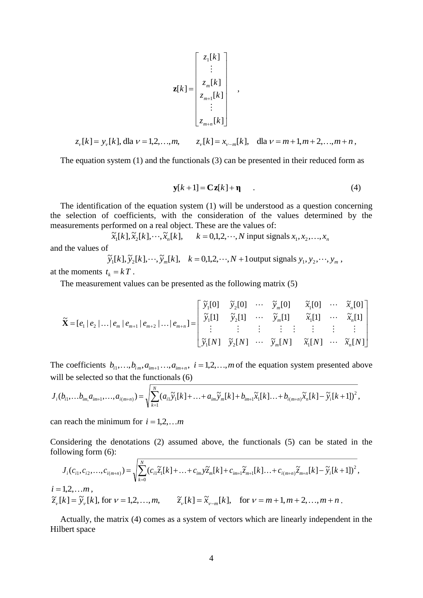$$
\mathbf{z}[k] = \begin{bmatrix} z_1[k] \\ \vdots \\ z_m[k] \\ z_{m+1}[k] \\ \vdots \\ z_{m+n}[k] \end{bmatrix} ,
$$

$$
z_{\nu}[k] = y_{\nu}[k], \text{ dla } \nu = 1, 2, \dots, m, \qquad z_{\nu}[k] = x_{\nu-m}[k], \quad \text{ dla } \nu = m+1, m+2, \dots, m+n,
$$

The equation system (1) and the functionals (3) can be presented in their reduced form as

$$
\mathbf{y}[k+1] = \mathbf{C}\mathbf{z}[k] + \mathbf{\eta} \tag{4}
$$

The identification of the equation system (1) will be understood as a question concerning the selection of coefficients, with the consideration of the values determined by the measurements performed on a real object. These are the values of:

 $\tilde{x}_1[k], \tilde{x}_2[k], \cdots, \tilde{x}_n[k], \quad k = 0, 1, 2, \cdots, N$  input signals  $x_1, x_2, \ldots, x_n$ and the values of

 $\widetilde{y}_1[k], \widetilde{y}_2[k], \cdots, \widetilde{y}_m[k], \quad k = 0, 1, 2, \cdots, N + 1$  output signals  $y_1, y_2, \cdots, y_m$ , at the moments  $t_k = kT$ .

The measurement values can be presented as the following matrix (5)

$$
\widetilde{\mathbf{X}} = [e_1 | e_2 | \dots | e_m | e_{m+1} | e_{m+2} | \dots | e_{m+n}] = \begin{bmatrix} \widetilde{y}_1[0] & \widetilde{y}_2[0] & \cdots & \widetilde{y}_m[0] & \widetilde{x}_1[0] & \cdots & \widetilde{x}_n[0] \\ \widetilde{y}_1[1] & \widetilde{y}_2[1] & \cdots & \widetilde{y}_m[1] & \widetilde{x}_1[1] & \cdots & \widetilde{x}_n[1] \\ \vdots & \vdots & \vdots & \vdots & \vdots & \vdots & \vdots \\ \widetilde{y}_1[N] & \widetilde{y}_2[N] & \cdots & \widetilde{y}_m[N] & \widetilde{x}_1[N] & \cdots & \widetilde{x}_n[N] \end{bmatrix}
$$

The coefficients  $b_{i1},...,b_{i_m},a_{i_{m+1}}...,a_{i_{m+n}}, i = 1,2,...,m$  of the equation system presented above will be selected so that the functionals (6)

$$
J_i(b_{i1},...b_{im}a_{im+1},...,a_{i(m+n)}) = \sqrt{\sum_{k=1}^N (a_{i1}\widetilde{y}_1[k]+...+a_{im}\widetilde{y}_m[k]+b_{im+1}\widetilde{x}_1[k]...+b_{i(m+n)}\widetilde{x}_n[k]-\widetilde{y}_i[k+1])^2},
$$

can reach the minimum for  $i = 1,2,...m$ 

Considering the denotations (2) assumed above, the functionals (5) can be stated in the following form (6):

$$
J_i(c_{i1}, c_{i2},...,c_{i(m+n)}) = \sqrt{\sum_{k=0}^{N} (c_{i1}\tilde{z}_1[k] + ... + c_{im}\tilde{z}_m[k] + c_{im+1}\tilde{z}_{m+1}[k]... + c_{i(m+n)}\tilde{z}_{m+n}[k] - \tilde{y}_i[k+1])^2},
$$
  
\n $i = 1,2,...m,$   
\n $\tilde{z}_\nu[k] = \tilde{y}_\nu[k],$  for  $\nu = 1,2,...,m,$   
\n $\tilde{z}_\nu[k] = \tilde{x}_{\nu-m}[k],$  for  $\nu = m+1, m+2,...,m+n.$ 

Actually, the matrix (4) comes as a system of vectors which are linearly independent in the Hilbert space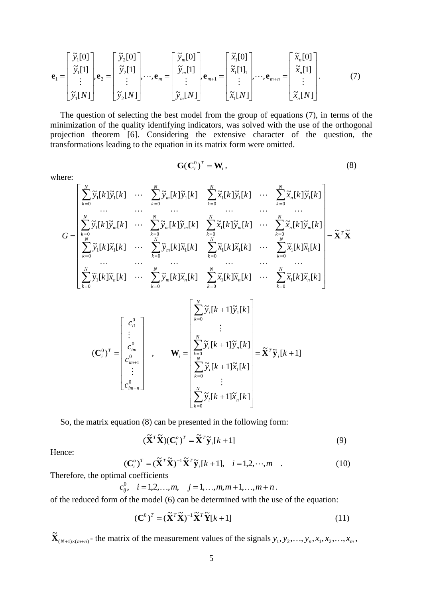$$
\mathbf{e}_{1} = \begin{bmatrix} \tilde{y}_{1}[0] \\ \tilde{y}_{1}[1] \\ \vdots \\ \tilde{y}_{1}[N] \end{bmatrix}, \mathbf{e}_{2} = \begin{bmatrix} \tilde{y}_{2}[0] \\ \tilde{y}_{2}[1] \\ \vdots \\ \tilde{y}_{2}[N] \end{bmatrix}, \dots, \mathbf{e}_{m} = \begin{bmatrix} \tilde{y}_{m}[0] \\ \tilde{y}_{m}[1] \\ \vdots \\ \tilde{y}_{m}[N] \end{bmatrix}, \mathbf{e}_{m+1} = \begin{bmatrix} \tilde{x}_{1}[0] \\ \tilde{x}_{1}[1] \\ \vdots \\ \tilde{x}_{1}[N] \end{bmatrix}, \dots, \mathbf{e}_{m+n} = \begin{bmatrix} \tilde{x}_{n}[0] \\ \tilde{x}_{n}[1] \\ \vdots \\ \tilde{x}_{n}[N] \end{bmatrix}.
$$
 (7)

The question of selecting the best model from the group of equations (7), in terms of the minimization of the quality identifying indicators, was solved with the use of the orthogonal projection theorem [6]. Considering the extensive character of the question, the transformations leading to the equation in its matrix form were omitted.

where:

$$
\mathbf{G}(\mathbf{C}_i^0)^T = \mathbf{W}_i,\tag{8}
$$

**X X** ~ <sup>~</sup> [ ] [ ] ~ [ ] [ ] ~ [ ] [ ] [ ] ~ [ ] ~[ ] [ ] ~ [ ] [ ] ~ [ ] [ ] ~ [ ] ~ [ ] ~[ ] [ ] ~ [ ] [ ] [ ] [ ] ~ [ ] ~ [ ] [ ] [ ] [ ] [ ] [ ] [ ] [ ] ~ [ ] 0 0 1 0 0 1 1 1 1 1 0 1 0 1 1 0 0 1 0 0 1 0 1 0 1 1 1 0 1 1 *T N k N k N k m n N k N k N k N k N k N k n m N k m N k m m N k m N k N k N k m N k y k <sup>x</sup> k y k <sup>x</sup> k <sup>x</sup> k <sup>x</sup> k <sup>x</sup> k <sup>x</sup> k y k <sup>x</sup> k y k <sup>x</sup> k <sup>x</sup> k <sup>x</sup> k <sup>x</sup> k <sup>x</sup> k y k y k y k y k <sup>x</sup> k y k <sup>x</sup> k y k y k y k y k y k <sup>x</sup> k y k <sup>x</sup> k y k G* [ 1] ~[ ] ~ [ 1] [ ] [ 1] [ ] [ 1] ~[ ] [ 1] ( ) , 0 0 1 0 1 0 1 0 0 1 0 *k y k <sup>x</sup> k y k <sup>x</sup> k y k y k y k y k c c c c i T N k i <sup>n</sup> N k i N k i <sup>n</sup> N k i i im <sup>n</sup> im im i T <sup>i</sup>* **C W X y** 

So, the matrix equation (8) can be presented in the following form:

$$
(\widetilde{\mathbf{X}}^T \widetilde{\mathbf{X}})(\mathbf{C}_i^o)^T = \widetilde{\mathbf{X}}^T \widetilde{\mathbf{y}}_i[k+1]
$$
\n(9)

Hence:

$$
(\mathbf{C}_{i}^{\circ})^{T} = (\widetilde{\mathbf{X}}^{T} \widetilde{\mathbf{X}})^{-1} \widetilde{\mathbf{X}}^{T} \widetilde{\mathbf{y}}_{i}[k+1], \quad i = 1, 2, \cdots, m \quad . \tag{10}
$$

Therefore, the optimal coefficients

$$
c_{ij}^0
$$
,  $i = 1, 2, ..., m$ ,  $j = 1, ..., m, m + 1, ..., m + n$ .

of the reduced form of the model (6) can be determined with the use of the equation:

$$
(\mathbf{C}^0)^T = (\widetilde{\mathbf{X}}^T \widetilde{\mathbf{X}})^{-1} \widetilde{\mathbf{X}}^T \widetilde{\mathbf{Y}} [k+1]
$$
(11)

 $(N+1)\times(m+n)$  $\widetilde{\mathbf{X}}_{(N+1)\times(m+n)}$  the matrix of the measurement values of the signals  $y_1, y_2, \ldots, y_n, x_1, x_2, \ldots, x_m$ ,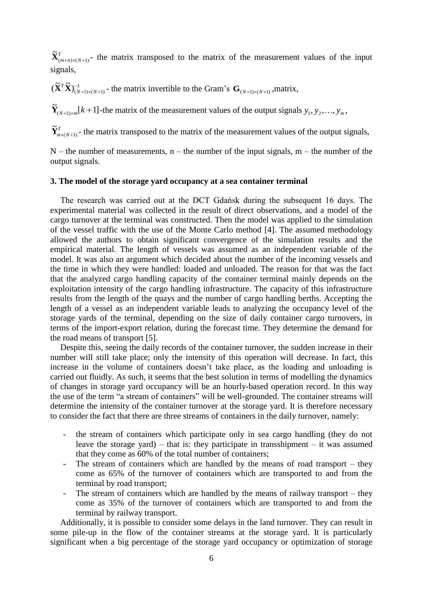*T*  $(m+n)\times(N+1)$  $\tilde{\mathbf{X}}_{(m+n)\times(N+1)}^T$  the matrix transposed to the matrix of the measurement values of the input signals,

1  $(\widetilde{\mathbf{X}}^T \widetilde{\mathbf{X}})_{(N+1)\times (N+1)}^{-1}$  $\widetilde{\mathbf{X}}^T \widetilde{\mathbf{X}} \widetilde{\mathbf{C}}_{(N+1) \times (N+1)}$  - the matrix invertible to the Gram's  $\mathbf{G}_{(N+1) \times (N+1)}$ , matrix,

 $\tilde{\mathbf{Y}}_{(N+1)\times m}[k+1]$ -the matrix of the measurement values of the output signals  $y_1, y_2, ..., y_m$ 

*T*  $m \times (N+1)$  $\widetilde{\mathbf{Y}}_{m \times (N+1)}^T$  - the matrix transposed to the matrix of the measurement values of the output signals,

 $N$  – the number of measurements, n – the number of the input signals, m – the number of the output signals.

#### **3. The model of the storage yard occupancy at a sea container terminal**

The research was carried out at the DCT Gdańsk during the subsequent 16 days. The experimental material was collected in the result of direct observations, and a model of the cargo turnover at the terminal was constructed. Then the model was applied to the simulation of the vessel traffic with the use of the Monte Carlo method [4]. The assumed methodology allowed the authors to obtain significant convergence of the simulation results and the empirical material. The length of vessels was assumed as an independent variable of the model. It was also an argument which decided about the number of the incoming vessels and the time in which they were handled: loaded and unloaded. The reason for that was the fact that the analyzed cargo handling capacity of the container terminal mainly depends on the exploitation intensity of the cargo handling infrastructure. The capacity of this infrastructure results from the length of the quays and the number of cargo handling berths. Accepting the length of a vessel as an independent variable leads to analyzing the occupancy level of the storage yards of the terminal, depending on the size of daily container cargo turnovers, in terms of the import-export relation, during the forecast time. They determine the demand for the road means of transport [5].

Despite this, seeing the daily records of the container turnover, the sudden increase in their number will still take place; only the intensity of this operation will decrease. In fact, this increase in the volume of containers doesn't take place, as the loading and unloading is carried out fluidly. As such, it seems that the best solution in terms of modelling the dynamics of changes in storage yard occupancy will be an hourly-based operation record. In this way the use of the term "a stream of containers" will be well-grounded. The container streams will determine the intensity of the container turnover at the storage yard. It is therefore necessary to consider the fact that there are three streams of containers in the daily turnover, namely:

- the stream of containers which participate only in sea cargo handling (they do not leave the storage yard) – that is: they participate in transshipment – it was assumed that they come as 60% of the total number of containers;
- The stream of containers which are handled by the means of road transport they come as 65% of the turnover of containers which are transported to and from the terminal by road transport;
- The stream of containers which are handled by the means of railway transport they come as 35% of the turnover of containers which are transported to and from the terminal by railway transport.

Additionally, it is possible to consider some delays in the land turnover. They can result in some pile-up in the flow of the container streams at the storage yard. It is particularly significant when a big percentage of the storage yard occupancy or optimization of storage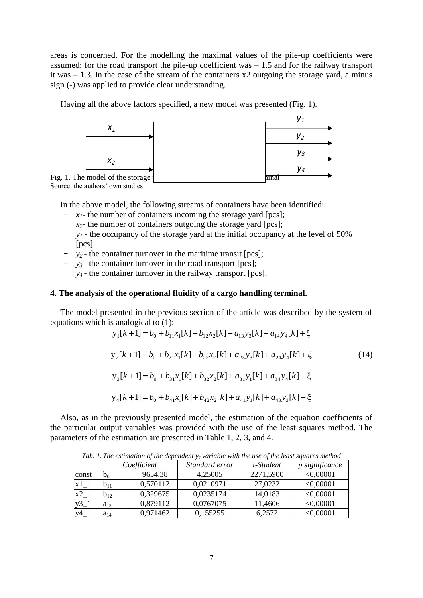areas is concerned. For the modelling the maximal values of the pile-up coefficients were assumed: for the road transport the pile-up coefficient was  $-1.5$  and for the railway transport it was  $-1.3$ . In the case of the stream of the containers  $x2$  outgoing the storage yard, a minus sign (-) was applied to provide clear understanding.

Having all the above factors specified, a new model was presented (Fig. 1).



Source: the authors' own studies

In the above model, the following streams of containers have been identified:

- $x_1$  the number of containers incoming the storage yard [pcs];
- $x<sub>2</sub>$  the number of containers outgoing the storage yard [pcs];
- *y<sup>1</sup>* the occupancy of the storage yard at the initial occupancy at the level of 50% [pcs].
- *y2 -* the container turnover in the maritime transit [pcs];
- *y3 -* the container turnover in the road transport [pcs];
- *y4 -* the container turnover in the railway transport [pcs].

## **4. The analysis of the operational fluidity of a cargo handling terminal.**

The model presented in the previous section of the article was described by the system of equations which is analogical to (1):

$$
y_{1}[k+1] = b_{0} + b_{11}x_{1}[k] + b_{12}x_{2}[k] + a_{13}y_{3}[k] + a_{14}y_{4}[k] + \xi
$$
  
\n
$$
y_{2}[k+1] = b_{0} + b_{21}x_{1}[k] + b_{22}x_{2}[k] + a_{23}y_{3}[k] + a_{24}y_{4}[k] + \xi
$$
  
\n
$$
y_{3}[k+1] = b_{0} + b_{31}x_{1}[k] + b_{32}x_{2}[k] + a_{31}y_{1}[k] + a_{34}y_{4}[k] + \xi
$$
  
\n
$$
y_{4}[k+1] = b_{0} + b_{41}x_{1}[k] + b_{42}x_{2}[k] + a_{41}y_{1}[k] + a_{43}y_{3}[k] + \xi
$$
\n(14)

Also, as in the previously presented model, the estimation of the equation coefficients of the particular output variables was provided with the use of the least squares method. The parameters of the estimation are presented in Table 1, 2, 3, and 4.

| Tub. 1. The estimation of the aependent yf variable with the use of the teast squares method |             |          |                |           |                |  |
|----------------------------------------------------------------------------------------------|-------------|----------|----------------|-----------|----------------|--|
|                                                                                              | Coefficient |          | Standard error | t-Student | p significance |  |
| const                                                                                        | $b_0$       | 9654,38  | 4,25005        | 2271,5900 | < 0,00001      |  |
| $x1_1$                                                                                       | $b_{11}$    | 0,570112 | 0.0210971      | 27,0232   | < 0,00001      |  |
| $x^2-1$                                                                                      | $b_{12}$    | 0.329675 | 0,0235174      | 14,0183   | < 0,00001      |  |
| $y3_1$                                                                                       | $a_{13}$    | 0,879112 | 0,0767075      | 11,4606   | < 0,00001      |  |
| $y4_1$                                                                                       | $a_{14}$    | 0,971462 | 0,155255       | 6,2572    | < 0,00001      |  |

*Tab. 1. The estimation of the dependent y1 variable with the use of the least squares method*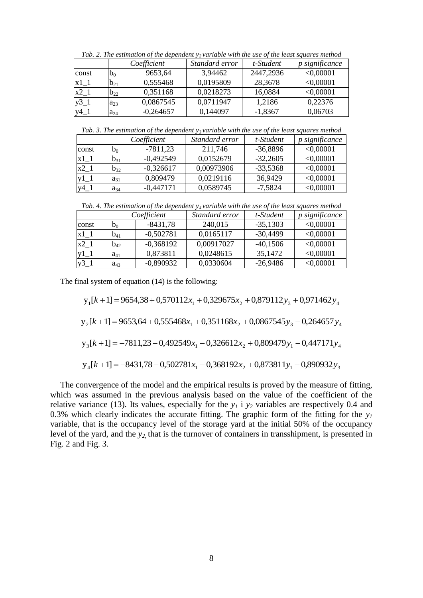| Tub. 2. The estimation of the dependent y variable with the use of the teast squares method |          |             |                |           |                       |  |
|---------------------------------------------------------------------------------------------|----------|-------------|----------------|-----------|-----------------------|--|
|                                                                                             |          | Coefficient | Standard error | t-Student | <i>p</i> significance |  |
| const                                                                                       | $b_0$    | 9653,64     | 3,94462        | 2447,2936 | < 0,00001             |  |
| $x1_1$                                                                                      | $b_{21}$ | 0,555468    | 0.0195809      | 28,3678   | < 0,00001             |  |
| $x^2-1$                                                                                     | $b_{22}$ | 0,351168    | 0.0218273      | 16,0884   | < 0,00001             |  |
| $y3_1$                                                                                      | $a_{23}$ | 0,0867545   | 0,0711947      | 1,2186    | 0,22376               |  |
| $y4_1$                                                                                      | $a_{24}$ | $-0,264657$ | 0,144097       | $-1,8367$ | 0,06703               |  |

*Tab. 2. The estimation of the dependent y2 variable with the use of the least squares method*

*Tab. 3. The estimation of the dependent y3 variable with the use of the least squares method*

|        | Coefficient |             | Standard error | t-Student  | <i>p</i> significance |
|--------|-------------|-------------|----------------|------------|-----------------------|
| const  | $b_0$       | $-7811,23$  | 211,746        | $-36,8896$ | < 0,00001             |
| $x1$ 1 | $b_{31}$    | $-0,492549$ | 0.0152679      | $-32,2605$ | < 0,00001             |
| $x2_1$ | $b_{32}$    | $-0,326617$ | 0,00973906     | $-33,5368$ | < 0,00001             |
|        | $a_{31}$    | 0,809479    | 0.0219116      | 36,9429    | < 0,00001             |
| $y4_1$ | $a_{34}$    | $-0,447171$ | 0,0589745      | $-7,5824$  | < 0,00001             |

*Tab. 4. The estimation of the dependent y4 variable with the use of the least squares method*

|         | Coefficient |             | Standard error | t-Student  | p significance |
|---------|-------------|-------------|----------------|------------|----------------|
| const   | $b_0$       | $-8431,78$  | 240,015        | $-35,1303$ | < 0,00001      |
| $x1_1$  | $b_{41}$    | $-0,502781$ | 0,0165117      | $-30,4499$ | < 0,00001      |
| $x^2-1$ | $b_{42}$    | $-0,368192$ | 0,00917027     | $-40,1506$ | < 0,00001      |
|         | $a_{41}$    | 0,873811    | 0,0248615      | 35,1472    | < 0,00001      |
|         | $a_{43}$    | $-0,890932$ | 0,0330604      | $-26,9486$ | < 0,00001      |

The final system of equation (14) is the following:

 $y_1[k+1] = 9654,38 + 0,570112x_1 + 0,329675x_2 + 0,879112y_3 + 0,971462y_4$ 

$$
y_2[k+1] = 9653,64 + 0,555468x_1 + 0,351168x_2 + 0,0867545y_3 - 0,264657y_4
$$

$$
y_3[k+1] = -7811,23 - 0,492549x_1 - 0,326612x_2 + 0,809479y_1 - 0,447171y_4
$$

$$
y_4[k+1] = -8431,78 - 0.502781x_1 - 0.368192x_2 + 0.873811y_1 - 0.890932y_3
$$

The convergence of the model and the empirical results is proved by the measure of fitting, which was assumed in the previous analysis based on the value of the coefficient of the relative variance (13). Its values, especially for the  $y<sub>I</sub>$  i  $y<sub>2</sub>$  variables are respectively 0.4 and 0.3% which clearly indicates the accurate fitting. The graphic form of the fitting for the  $y<sub>1</sub>$ variable, that is the occupancy level of the storage yard at the initial 50% of the occupancy level of the yard, and the *y2,* that is the turnover of containers in transshipment, is presented in Fig. 2 and Fig. 3.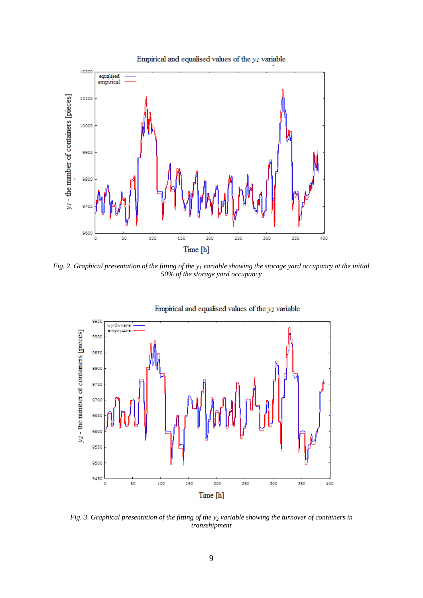

*Fig. 2. Graphical presentation of the fitting of the y<sup>1</sup> variable showing the storage yard occupancy at the initial 50% of the storage yard occupancy*



Empirical and equalised values of the  $y_2$  variable

*Fig. 3. Graphical presentation of the fitting of the y<sup>2</sup> variable showing the turnover of containers in transshipment*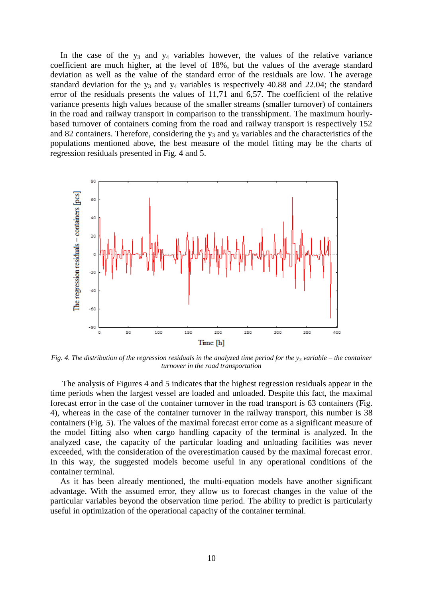In the case of the  $y_3$  and  $y_4$  variables however, the values of the relative variance coefficient are much higher, at the level of 18%, but the values of the average standard deviation as well as the value of the standard error of the residuals are low. The average standard deviation for the  $y_3$  and  $y_4$  variables is respectively 40.88 and 22.04; the standard error of the residuals presents the values of 11,71 and 6,57. The coefficient of the relative variance presents high values because of the smaller streams (smaller turnover) of containers in the road and railway transport in comparison to the transshipment. The maximum hourlybased turnover of containers coming from the road and railway transport is respectively 152 and 82 containers. Therefore, considering the  $y_3$  and  $y_4$  variables and the characteristics of the populations mentioned above, the best measure of the model fitting may be the charts of regression residuals presented in Fig. 4 and 5.



*Fig. 4. The distribution of the regression residuals in the analyzed time period for the*  $y_3$  *variable – the container turnover in the road transportation*

The analysis of Figures 4 and 5 indicates that the highest regression residuals appear in the time periods when the largest vessel are loaded and unloaded. Despite this fact, the maximal forecast error in the case of the container turnover in the road transport is 63 containers (Fig. 4), whereas in the case of the container turnover in the railway transport, this number is 38 containers (Fig. 5). The values of the maximal forecast error come as a significant measure of the model fitting also when cargo handling capacity of the terminal is analyzed. In the analyzed case, the capacity of the particular loading and unloading facilities was never exceeded, with the consideration of the overestimation caused by the maximal forecast error. In this way, the suggested models become useful in any operational conditions of the container terminal.

As it has been already mentioned, the multi-equation models have another significant advantage. With the assumed error, they allow us to forecast changes in the value of the particular variables beyond the observation time period. The ability to predict is particularly useful in optimization of the operational capacity of the container terminal.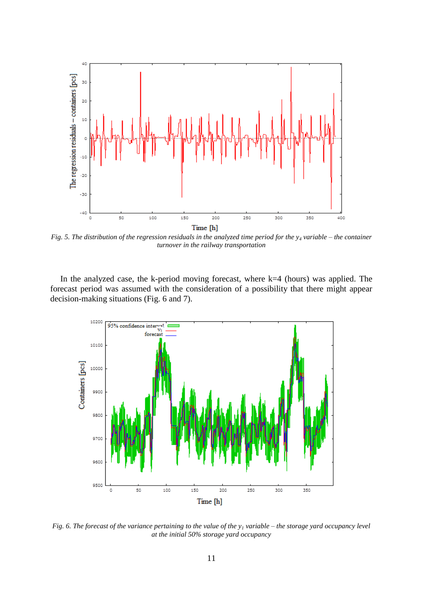

*Fig. 5. The distribution of the regression residuals in the analyzed time period for the y<sup>4</sup> variable – the container turnover in the railway transportation*

In the analyzed case, the k-period moving forecast, where  $k=4$  (hours) was applied. The forecast period was assumed with the consideration of a possibility that there might appear decision-making situations (Fig. 6 and 7).



*Fig. 6. The forecast of the variance pertaining to the value of the y<sup>1</sup> variable – the storage yard occupancy level at the initial 50% storage yard occupancy*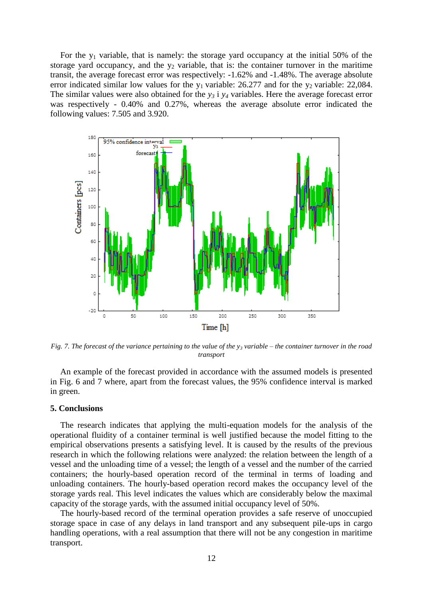For the  $y_1$  variable, that is namely: the storage yard occupancy at the initial 50% of the storage yard occupancy, and the  $y_2$  variable, that is: the container turnover in the maritime transit, the average forecast error was respectively: -1.62% and -1.48%. The average absolute error indicated similar low values for the  $y_1$  variable: 26.277 and for the  $y_2$  variable: 22,084. The similar values were also obtained for the *y<sup>3</sup>* i *y<sup>4</sup>* variables. Here the average forecast error was respectively - 0.40% and 0.27%, whereas the average absolute error indicated the following values: 7.505 and 3.920.



*Fig. 7. The forecast of the variance pertaining to the value of the y<sup>3</sup> variable – the container turnover in the road transport*

An example of the forecast provided in accordance with the assumed models is presented in Fig. 6 and 7 where, apart from the forecast values, the 95% confidence interval is marked in green.

#### **5. Conclusions**

The research indicates that applying the multi-equation models for the analysis of the operational fluidity of a container terminal is well justified because the model fitting to the empirical observations presents a satisfying level. It is caused by the results of the previous research in which the following relations were analyzed: the relation between the length of a vessel and the unloading time of a vessel; the length of a vessel and the number of the carried containers; the hourly-based operation record of the terminal in terms of loading and unloading containers. The hourly-based operation record makes the occupancy level of the storage yards real. This level indicates the values which are considerably below the maximal capacity of the storage yards, with the assumed initial occupancy level of 50%.

The hourly-based record of the terminal operation provides a safe reserve of unoccupied storage space in case of any delays in land transport and any subsequent pile-ups in cargo handling operations, with a real assumption that there will not be any congestion in maritime transport.